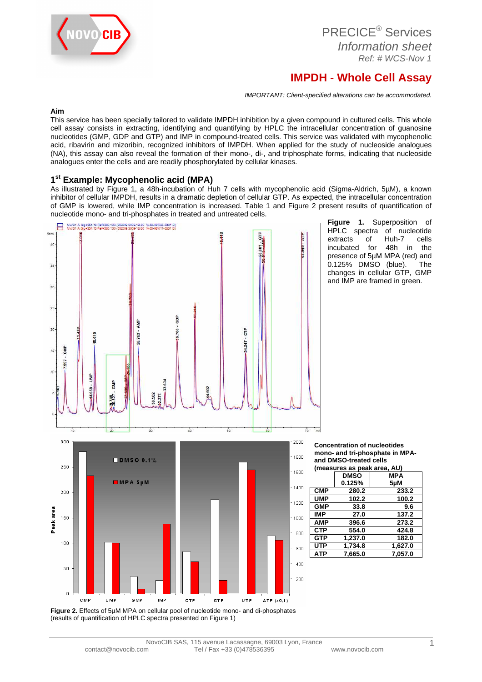

# **IMPDH - Whole Cell Assay**

IMPORTANT: Client-specified alterations can be accommodated.

### **Aim**

This service has been specially tailored to validate IMPDH inhibition by a given compound in cultured cells. This whole cell assay consists in extracting, identifying and quantifying by HPLC the intracellular concentration of guanosine nucleotides (GMP, GDP and GTP) and IMP in compound-treated cells. This service was validated with mycophenolic acid, ribavirin and mizoribin, recognized inhibitors of IMPDH. When applied for the study of nucleoside analogues (NA), this assay can also reveal the formation of their mono-, di-, and triphosphate forms, indicating that nucleoside analogues enter the cells and are readily phosphorylated by cellular kinases.

## **1 st Example: Mycophenolic acid (MPA)**

As illustrated by Figure 1, a 48h-incubation of Huh 7 cells with mycophenolic acid (Sigma-Aldrich, 5µM), a known inhibitor of cellular IMPDH, results in a dramatic depletion of cellular GTP. As expected, the intracellular concentration of GMP is lowered, while IMP concentration is increased. Table 1 and Figure 2 present results of quantification of nucleotide mono- and tri-phosphates in treated and untreated cells.



**Figure 1.** Superposition of HPLC spectra of nucleotide extracts of Huh-7 cells incubated for 48h in the presence of 5µM MPA (red) and 0.125% DMSO (blue). The changes in cellular GTP, GMP and IMP are framed in green.

**Concentration of nucleotides mono- and tri-phosphate in MPAand DMSO-treated cells (measures as peak area, AU)** 

|            | <b>DMSO</b> | <b>MPA</b> |
|------------|-------------|------------|
|            | 0.125%      | 5µM        |
| <b>CMP</b> | 280.2       | 233.2      |
| <b>UMP</b> | 102.2       | 100.2      |
| <b>GMP</b> | 33.8        | 9.6        |
| <b>IMP</b> | 27.0        | 137.2      |
| <b>AMP</b> | 396.6       | 273.2      |
| <b>CTP</b> | 554.0       | 424.8      |
| <b>GTP</b> | 1,237.0     | 182.0      |
| <b>UTP</b> | 1,734.8     | 1,627.0    |
| <b>ATP</b> | 7,665.0     | 7,057.0    |
|            |             |            |

**Figure 2.** Effects of 5µM MPA on cellular pool of nucleotide mono- and di-phosphates (results of quantification of HPLC spectra presented on Figure 1)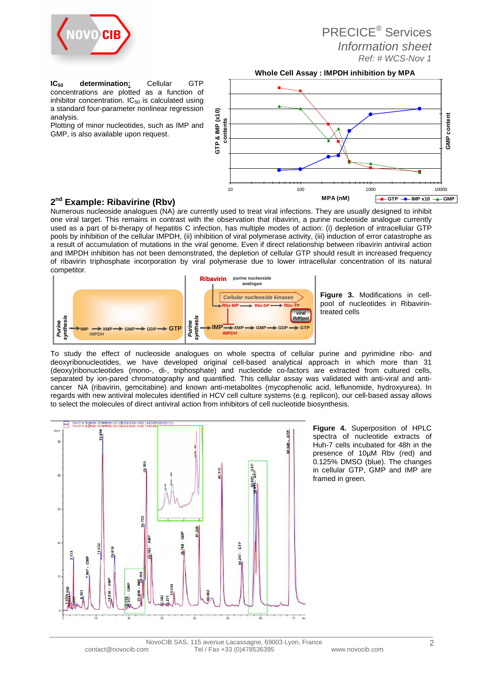

**IC50 determination:** Cellular GTP concentrations are plotted as a function of inhibitor concentration.  $IC_{50}$  is calculated using a standard four-parameter nonlinear regression analysis.

Plotting of minor nucleotides, such as IMP and GMP, is also available upon request.



## **2 nd Example: Ribavirine (Rbv)**

Numerous nucleoside analogues (NA) are currently used to treat viral infections. They are usually designed to inhibit one viral target. This remains in contrast with the observation that ribavirin, a purine nucleoside analogue currently used as a part of bi-therapy of hepatitis C infection, has multiple modes of action: (i) depletion of intracellular GTP pools by inhibition of the cellular IMPDH, (ii) inhibition of viral polymerase activity, (iii) induction of error catastrophe as a result of accumulation of mutations in the viral genome. Even if direct relationship between ribavirin antiviral action and IMPDH inhibition has not been demonstrated, the depletion of cellular GTP should result in increased frequency of ribavirin triphosphate incorporation by viral polymerase due to lower intracellular concentration of its natural competitor.



**Figure 3.** Modifications in cellpool of nucleotides in Ribavirintreated cells

To study the effect of nucleoside analogues on whole spectra of cellular purine and pyrimidine ribo- and deoxyribonucleotides, we have developed original cell-based analytical approach in which more than 31 (deoxy)ribonucleotides (mono-, di-, triphosphate) and nucleotide co-factors are extracted from cultured cells, separated by ion-pared chromatography and quantified. This cellular assay was validated with anti-viral and anticancer NA (ribavirin, gemcitabine) and known anti-metabolites (mycophenolic acid, leflunomide, hydroxyurea). In regards with new antiviral molecules identified in HCV cell culture systems (e.g. replicon), our cell-based assay allows to select the molecules of direct antiviral action from inhibitors of cell nucleotide biosynthesis.



**Figure 4.** Superposition of HPLC spectra of nucleotide extracts of Huh-7 cells incubated for 48h in the presence of 10µM Rbv (red) and 0.125% DMSO (blue). The changes in cellular GTP, GMP and IMP are framed in green.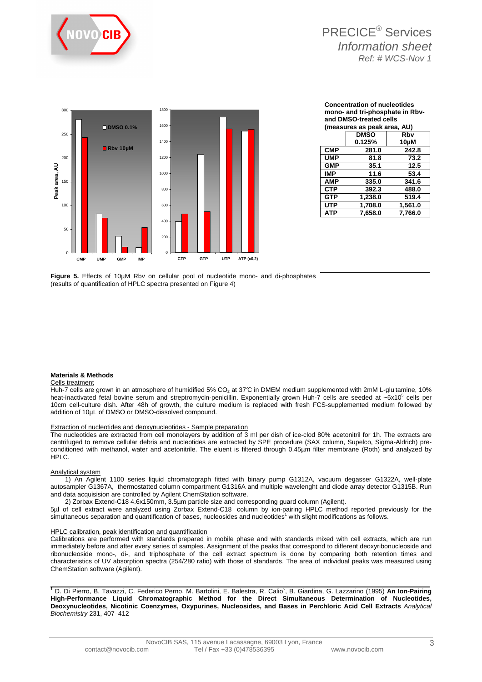



| <b>Concentration of nucleotides</b> |
|-------------------------------------|
| mono- and tri-phosphate in Rbv-     |
| and DMSO-treated cells              |
| <i>Impacures</i> as poak area. All  |

|            | (ilicasul cs as peak area, AO) |         |
|------------|--------------------------------|---------|
|            | <b>DMSO</b>                    | Rbv     |
|            | 0.125%                         | 10µM    |
| <b>CMP</b> | 281.0                          | 242.8   |
| <b>UMP</b> | 81.8                           | 73.2    |
| <b>GMP</b> | 35.1                           | 12.5    |
| <b>IMP</b> | 11.6                           | 53.4    |
| <b>AMP</b> | 335.0                          | 341.6   |
| <b>CTP</b> | 392.3                          | 488.0   |
| <b>GTP</b> | 1,238.0                        | 519.4   |
| <b>UTP</b> | 1,708.0                        | 1,561.0 |
| <b>ATP</b> | 7.658.0                        | 7,766.0 |
|            |                                |         |

**Figure 5.** Effects of 10µM Rbv on cellular pool of nucleotide mono- and di-phosphates (results of quantification of HPLC spectra presented on Figure 4)

#### **Materials & Methods**

#### Cells treatment

Huh-7 cells are grown in an atmosphere of humidified 5% CO<sub>2</sub> at 37°C in DMEM medium supplemented with 2mM L-glu tamine, 10% heat-inactivated fetal bovine serum and streptromycin-penicillin. Exponentially grown Huh-7 cells are seeded at ~6x10<sup>5</sup> cells per 10cm cell-culture dish. After 48h of growth, the culture medium is replaced with fresh FCS-supplemented medium followed by addition of 10µL of DMSO or DMSO-dissolved compound.

#### Extraction of nucleotides and deoxynucleotides - Sample preparation

The nucleotides are extracted from cell monolayers by addition of 3 ml per dish of ice-clod 80% acetonitril for 1h. The extracts are centrifuged to remove cellular debris and nucleotides are extracted by SPE procedure (SAX column, Supelco, Sigma-Aldrich) preconditioned with methanol, water and acetonitrile. The eluent is filtered through 0.45µm filter membrane (Roth) and analyzed by HPLC.

#### Analytical system

 1) An Agilent 1100 series liquid chromatograph fitted with binary pump G1312A, vacuum degasser G1322A, well-plate autosampler G1367A, thermostatted column compartment G1316A and multiple wavelenght and diode array detector G1315B. Run and data acquisision are controlled by Agilent ChemStation software.

2) Zorbax Extend-C18 4.6x150mm, 3.5µm particle size and corresponding guard column (Agilent).

5µl of cell extract were analyzed using Zorbax Extend-C18 column by ion-pairing HPLC method reported previously for the simultaneous separation and quantification of bases, nucleosides and nucleotides1 with slight modifications as follows.

#### HPLC calibration, peak identification and quantification

Calibrations are performed with standards prepared in mobile phase and with standards mixed with cell extracts, which are run immediately before and after every series of samples. Assignment of the peaks that correspond to different deoxyribonucleoside and ribonucleoside mono-, di-, and triphosphate of the cell extract spectrum is done by comparing both retention times and characteristics of UV absorption spectra (254/280 ratio) with those of standards. The area of individual peaks was measured using ChemStation software (Agilent).

**<sup>1</sup>** D. Di Pierro, B. Tavazzi, C. Federico Perno, M. Bartolini, E. Balestra, R. Calio`, B. Giardina, G. Lazzarino (1995) **An Ion-Pairing High-Performance Liquid Chromatographic Method for the Direct Simultaneous Determination of Nucleotides, Deoxynucleotides, Nicotinic Coenzymes, Oxypurines, Nucleosides, and Bases in Perchloric Acid Cell Extracts** Analytical Biochemistry 231, 407–412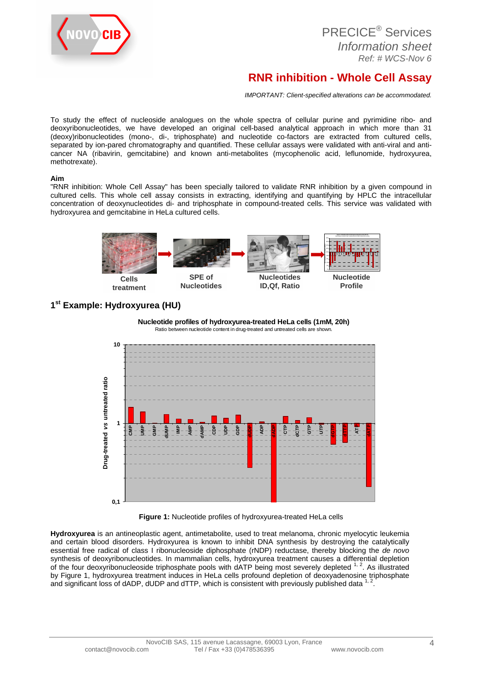

# **RNR inhibition - Whole Cell Assay**

IMPORTANT: Client-specified alterations can be accommodated.

To study the effect of nucleoside analogues on the whole spectra of cellular purine and pyrimidine ribo- and deoxyribonucleotides, we have developed an original cell-based analytical approach in which more than 31 (deoxy)ribonucleotides (mono-, di-, triphosphate) and nucleotide co-factors are extracted from cultured cells, separated by ion-pared chromatography and quantified. These cellular assays were validated with anti-viral and anticancer NA (ribavirin, gemcitabine) and known anti-metabolites (mycophenolic acid, leflunomide, hydroxyurea, methotrexate).

### **Aim**

"RNR inhibition: Whole Cell Assay" has been specially tailored to validate RNR inhibition by a given compound in cultured cells. This whole cell assay consists in extracting, identifying and quantifying by HPLC the intracellular concentration of deoxynucleotides di- and triphosphate in compound-treated cells. This service was validated with hydroxyurea and gemcitabine in HeLa cultured cells.



## **1 st Example: Hydroxyurea (HU)**



**Figure 1:** Nucleotide profiles of hydroxyurea-treated HeLa cells

**Hydroxyurea** is an antineoplastic agent, antimetabolite, used to treat melanoma, chronic myelocytic leukemia and certain blood disorders. Hydroxyurea is known to inhibit DNA synthesis by destroying the catalytically essential free radical of class I ribonucleoside diphosphate (rNDP) reductase, thereby blocking the de novo synthesis of deoxyribonucleotides. In mammalian cells, hydroxyurea treatment causes a differential depletion of the four deoxyribonucleoside triphosphate pools with dATP being most severely depleted 1, 2. As illustrated by Figure 1, hydroxyurea treatment induces in HeLa cells profound depletion of deoxyadenosine triphosphate and significant loss of dADP, dUDP and dTTP, which is consistent with previously published data  $1$ , .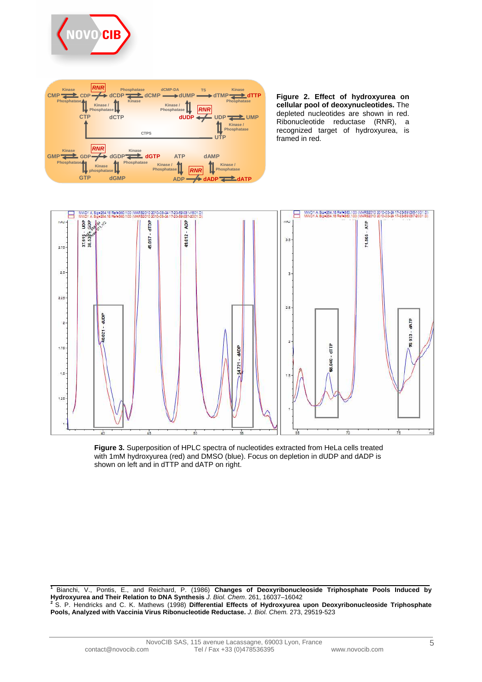



**Figure 2. Effect of hydroxyurea on cellular pool of deoxynucleotides.** The depleted nucleotides are shown in red. Ribonucleotide reductase (RNR), a recognized target of hydroxyurea, is framed in red.



**Figure 3.** Superposition of HPLC spectra of nucleotides extracted from HeLa cells treated with 1mM hydroxyurea (red) and DMSO (blue). Focus on depletion in dUDP and dADP is shown on left and in dTTP and dATP on right.

**<sup>1</sup>**Bianchi, V., Pontis, E., and Reichard, P. (1986) **Changes of Deoxyribonucleoside Triphosphate Pools Induced by**  Hydroxyurea and Their Relation to DNA Synthesis J. Biol. Chem. 261, 16037–16042<br>Hydroxyurea and Their Relation to DNA Synthesis J. Biol. Chem. 261, 16037–16042

**<sup>2</sup>**S. P. Hendricks and C. K. Mathews (1998) **Differential Effects of Hydroxyurea upon Deoxyribonucleoside Triphosphate Pools, Analyzed with Vaccinia Virus Ribonucleotide Reductase.** J. Biol. Chem. 273, 29519-523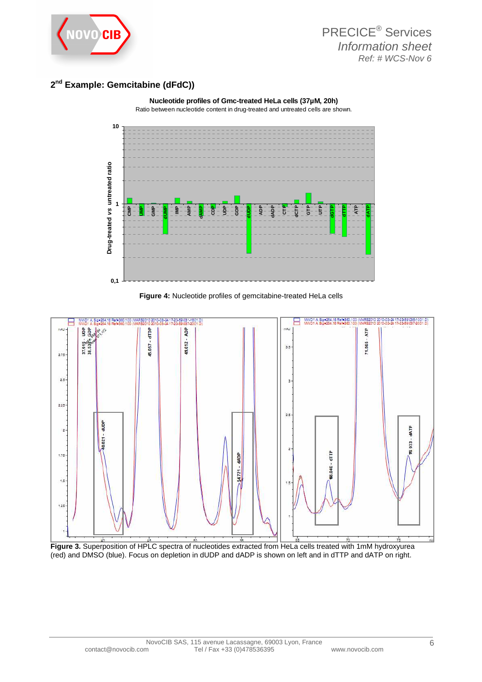

# **2 nd Example: Gemcitabine (dFdC))**



**Nucleotide profiles of Gmc-treated HeLa cells (37µM, 20h)** 

## **Figure 4:** Nucleotide profiles of gemcitabine-treated HeLa cells



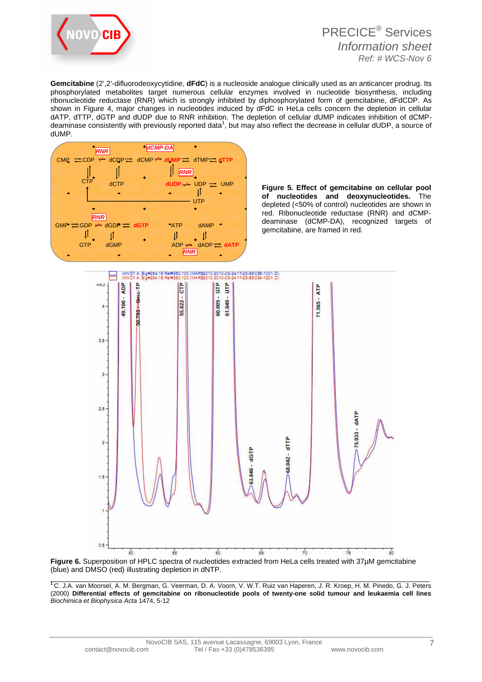

**Gemcitabine** (2',2'-difluorodeoxycytidine, **dFdC**) is a nucleoside analogue clinically used as an anticancer prodrug. Its phosphorylated metabolites target numerous cellular enzymes involved in nucleotide biosynthesis, including ribonucleotide reductase (RNR) which is strongly inhibited by diphosphorylated form of gemcitabine, dFdCDP. As shown in Figure 4, major changes in nucleotides induced by dFdC in HeLa cells concern the depletion in cellular dATP, dTTP, dGTP and dUDP due to RNR inhibition. The depletion of cellular dUMP indicates inhibition of dCMPdeaminase consistently with previously reported data<sup>1</sup>, but may also reflect the decrease in cellular dUDP, a source of dUMP.



**Figure 5. Effect of gemcitabine on cellular pool of nucleotides and deoxynucleotides.** The depleted (<50% of control) nucleotides are shown in red. Ribonucleotide reductase (RNR) and dCMPdeaminase (dCMP-DA), recognized targets of gemcitabine, are framed in red.





**<sup>1</sup>**C. J.A. van Moorsel, A. M. Bergman, G. Veerman, D. A. Voorn, V. W.T. Ruiz van Haperen, J. R. Kroep, H. M. Pinedo, G. J. Peters (2000) **Differential effects of gemcitabine on ribonucleotide pools of twenty-one solid tumour and leukaemia cell lines** Biochimica et Biophysica Acta 1474, 5-12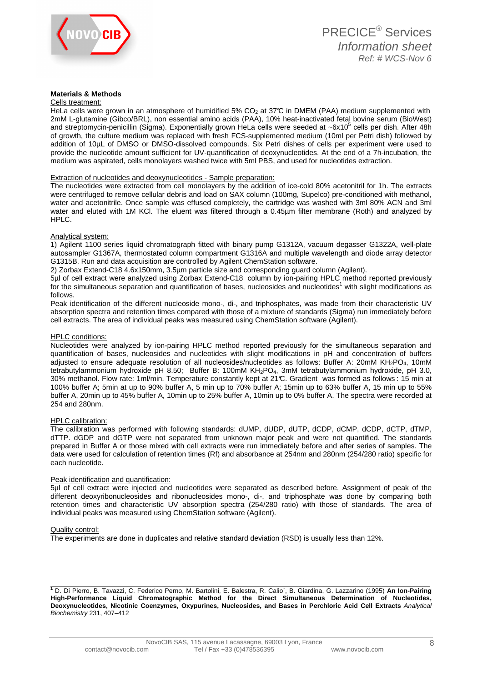

## **Materials & Methods**

Cells treatment:

HeLa cells were grown in an atmosphere of humidified 5%  $CO<sub>2</sub>$  at 37°C in DMEM (PAA) medium supplemented with 2mM L-glutamine (Gibco/BRL), non essential amino acids (PAA), 10% heat-inactivated fetal bovine serum (BioWest) and streptomycin-penicillin (Sigma). Exponentially grown HeLa cells were seeded at ~6x10<sup>5</sup> cells per dish. After 48h of growth, the culture medium was replaced with fresh FCS-supplemented medium (10ml per Petri dish) followed by addition of 10µL of DMSO or DMSO-dissolved compounds. Six Petri dishes of cells per experiment were used to provide the nucleotide amount sufficient for UV-quantification of deoxynucleotides. At the end of a 7h-incubation, the medium was aspirated, cells monolayers washed twice with 5ml PBS, and used for nucleotides extraction.

### Extraction of nucleotides and deoxynucleotides - Sample preparation:

The nucleotides were extracted from cell monolayers by the addition of ice-cold 80% acetonitril for 1h. The extracts were centrifuged to remove cellular debris and load on SAX column (100mg, Supelco) pre-conditioned with methanol, water and acetonitrile. Once sample was effused completely, the cartridge was washed with 3ml 80% ACN and 3ml water and eluted with 1M KCl. The eluent was filtered through a 0.45µm filter membrane (Roth) and analyzed by HPLC.

### Analytical system:

1) Agilent 1100 series liquid chromatograph fitted with binary pump G1312A, vacuum degasser G1322A, well-plate autosampler G1367A, thermostated column compartment G1316A and multiple wavelength and diode array detector G1315B. Run and data acquisition are controlled by Agilent ChemStation software.

2) Zorbax Extend-C18 4.6x150mm, 3.5µm particle size and corresponding guard column (Agilent).

5µl of cell extract were analyzed using Zorbax Extend-C18 column by ion-pairing HPLC method reported previously for the simultaneous separation and quantification of bases, nucleosides and nucleotides<sup>1</sup> with slight modifications as follows.

Peak identification of the different nucleoside mono-, di-, and triphosphates, was made from their characteristic UV absorption spectra and retention times compared with those of a mixture of standards (Sigma) run immediately before cell extracts. The area of individual peaks was measured using ChemStation software (Agilent).

#### HPLC conditions:

Nucleotides were analyzed by ion-pairing HPLC method reported previously for the simultaneous separation and quantification of bases, nucleosides and nucleotides with slight modifications in pH and concentration of buffers adjusted to ensure adequate resolution of all nucleosides/nucleotides as follows: Buffer A: 20mM KH<sub>2</sub>PO<sub>4</sub>, 10mM tetrabutylammonium hydroxide pH 8.50; Buffer B: 100mM KH2PO4, 3mM tetrabutylammonium hydroxide, pH 3.0, 30% methanol. Flow rate: 1ml/min. Temperature constantly kept at 21°C. Gradient was formed as follows : 15 min at 100% buffer A; 5min at up to 90% buffer A, 5 min up to 70% buffer A; 15min up to 63% buffer A, 15 min up to 55% buffer A, 20min up to 45% buffer A, 10min up to 25% buffer A, 10min up to 0% buffer A. The spectra were recorded at 254 and 280nm.

### HPLC calibration:

The calibration was performed with following standards: dUMP, dUDP, dUTP, dCDP, dCMP, dCDP, dCTP, dTMP, dTTP. dGDP and dGTP were not separated from unknown major peak and were not quantified. The standards prepared in Buffer A or those mixed with cell extracts were run immediately before and after series of samples. The data were used for calculation of retention times (Rf) and absorbance at 254nm and 280nm (254/280 ratio) specific for each nucleotide.

### Peak identification and quantification:

5µl of cell extract were injected and nucleotides were separated as described before. Assignment of peak of the different deoxyribonucleosides and ribonucleosides mono-, di-, and triphosphate was done by comparing both retention times and characteristic UV absorption spectra (254/280 ratio) with those of standards. The area of individual peaks was measured using ChemStation software (Agilent).

#### Quality control:

The experiments are done in duplicates and relative standard deviation (RSD) is usually less than 12%.

**<sup>1</sup>** D. Di Pierro, B. Tavazzi, C. Federico Perno, M. Bartolini, E. Balestra, R. Calio`, B. Giardina, G. Lazzarino (1995) **An Ion-Pairing High-Performance Liquid Chromatographic Method for the Direct Simultaneous Determination of Nucleotides, Deoxynucleotides, Nicotinic Coenzymes, Oxypurines, Nucleosides, and Bases in Perchloric Acid Cell Extracts** Analytical Biochemistry 231, 407–412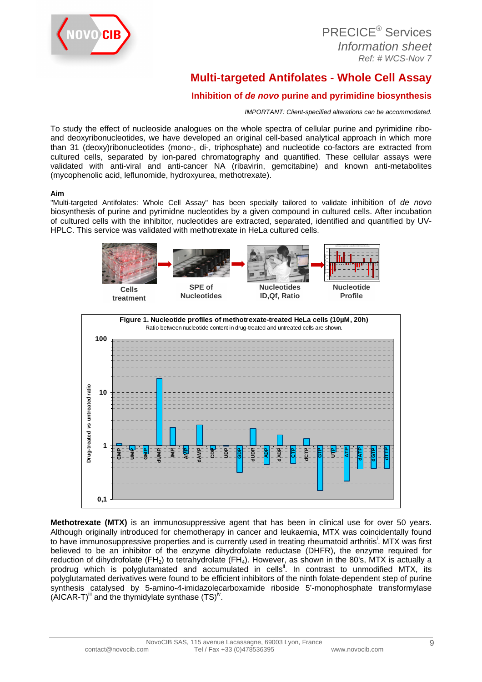

| <b>PRECICE<sup>®</sup> Services</b> |
|-------------------------------------|
| Information sheet                   |
| Ref: # WCS-Nov 7                    |

# **Multi-targeted Antifolates - Whole Cell Assay**

# **Inhibition of de novo purine and pyrimidine biosynthesis**

IMPORTANT: Client-specified alterations can be accommodated.

To study the effect of nucleoside analogues on the whole spectra of cellular purine and pyrimidine riboand deoxyribonucleotides, we have developed an original cell-based analytical approach in which more than 31 (deoxy)ribonucleotides (mono-, di-, triphosphate) and nucleotide co-factors are extracted from cultured cells, separated by ion-pared chromatography and quantified. These cellular assays were validated with anti-viral and anti-cancer NA (ribavirin, gemcitabine) and known anti-metabolites (mycophenolic acid, leflunomide, hydroxyurea, methotrexate).

## **Aim**

"Multi-targeted Antifolates: Whole Cell Assay" has been specially tailored to validate inhibition of de novo biosynthesis of purine and pyrimidne nucleotides by a given compound in cultured cells. After incubation of cultured cells with the inhibitor, nucleotides are extracted, separated, identified and quantified by UV-HPLC. This service was validated with methotrexate in HeLa cultured cells.



**Methotrexate (MTX)** is an immunosuppressive agent that has been in clinical use for over 50 years. Although originally introduced for chemotherapy in cancer and leukaemia, MTX was coincidentally found to have immunosuppressive properties and is currently used in treating rheumatoid arthritis<sup>i</sup>. MTX was first believed to be an inhibitor of the enzyme dihydrofolate reductase (DHFR), the enzyme required for reduction of dihydrofolate (FH<sub>2</sub>) to tetrahydrolate (FH<sub>4</sub>). However, as shown in the 80's, MTX is actually a prodrug which is polyglutamated and accumulated in cells<sup>ii</sup>. In contrast to unmodified MTX, its polyglutamated derivatives were found to be efficient inhibitors of the ninth folate-dependent step of purine synthesis catalysed by 5-amino-4-imidazolecarboxamide riboside 5'-monophosphate transformylase  $(AICAR-T)^{iii}$  and the thymidylate synthase  $(TS)^{iv}$ .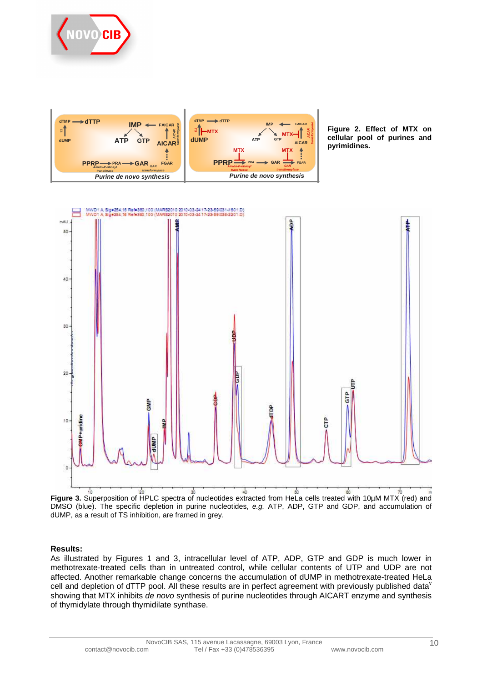



**Figure 2. Effect of MTX on cellular pool of purines and pyrimidines.** 



**Figure 3.** Superposition of HPLC spectra of nucleotides extracted from HeLa cells treated with 10µM MTX (red) and DMSO (blue). The specific depletion in purine nucleotides, e.g. ATP, ADP, GTP and GDP, and accumulation of dUMP, as a result of TS inhibition, are framed in grey.

## **Results:**

As illustrated by Figures 1 and 3, intracellular level of ATP, ADP, GTP and GDP is much lower in methotrexate-treated cells than in untreated control, while cellular contents of UTP and UDP are not affected. Another remarkable change concerns the accumulation of dUMP in methotrexate-treated HeLa cell and depletion of dTTP pool. All these results are in perfect agreement with previously published data<sup>v</sup> showing that MTX inhibits de novo synthesis of purine nucleotides through AICART enzyme and synthesis of thymidylate through thymidilate synthase.